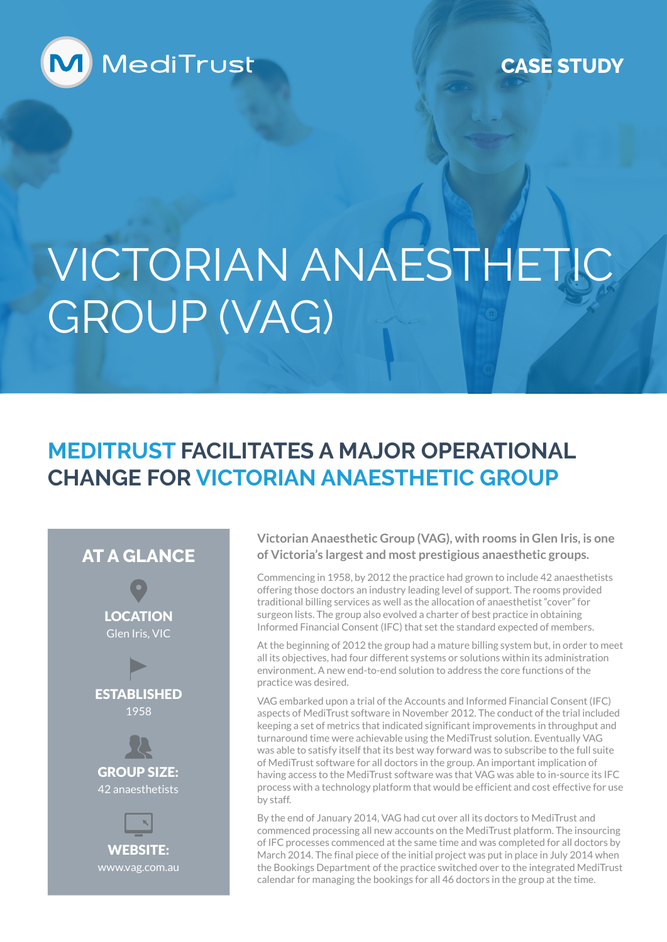

**CASE STUDY**

# VICTORIAN ANAESTHETIC GROUP (VAG)

### **MEDITRUST FACILITATES A MAJOR OPERATIONAL CHANGE FOR VICTORIAN ANAESTHETIC GROUP**

#### **AT A GLANCE**

LOCATION Glen Iris, VIC



GROUP SIZE: 42 anaesthetists



**Victorian Anaesthetic Group (VAG), with rooms in Glen Iris, is one of Victoria's largest and most prestigious anaesthetic groups.**

Commencing in 1958, by 2012 the practice had grown to include 42 anaesthetists offering those doctors an industry leading level of support. The rooms provided traditional billing services as well as the allocation of anaesthetist "cover" for surgeon lists. The group also evolved a charter of best practice in obtaining Informed Financial Consent (IFC) that set the standard expected of members.

At the beginning of 2012 the group had a mature billing system but, in order to meet all its objectives, had four different systems or solutions within its administration environment. A new end-to-end solution to address the core functions of the practice was desired.

VAG embarked upon a trial of the Accounts and Informed Financial Consent (IFC) aspects of MediTrust software in November 2012. The conduct of the trial included keeping a set of metrics that indicated significant improvements in throughput and turnaround time were achievable using the MediTrust solution. Eventually VAG was able to satisfy itself that its best way forward was to subscribe to the full suite of MediTrust software for all doctors in the group. An important implication of having access to the MediTrust software was that VAG was able to in-source its IFC process with a technology platform that would be efficient and cost effective for use by staff.

By the end of January 2014, VAG had cut over all its doctors to MediTrust and commenced processing all new accounts on the MediTrust platform. The insourcing of IFC processes commenced at the same time and was completed for all doctors by March 2014. The final piece of the initial project was put in place in July 2014 when the Bookings Department of the practice switched over to the integrated MediTrust calendar for managing the bookings for all 46 doctors in the group at the time.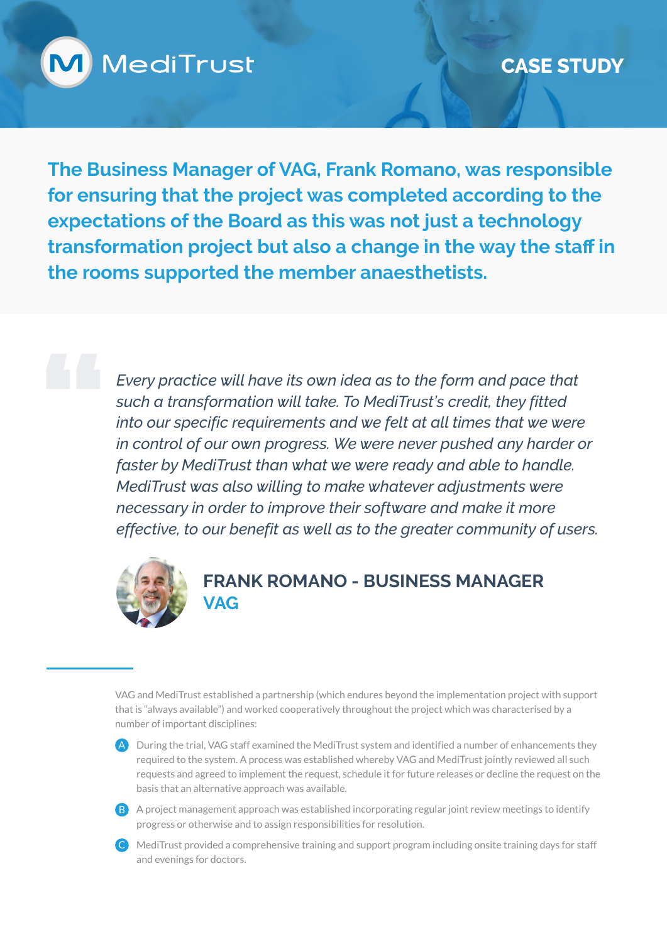

**The Business Manager of VAG, Frank Romano, was responsible for ensuring that the project was completed according to the expectations of the Board as this was not just a technology transformation project but also a change in the way the staff in the rooms supported the member anaesthetists.**

> *Every practice will have its own idea as to the form and pace that such a transformation will take. To MediTrust's credit, they fitted into our specific requirements and we felt at all times that we were in control of our own progress. We were never pushed any harder or faster by MediTrust than what we were ready and able to handle. MediTrust was also willing to make whatever adjustments were necessary in order to improve their software and make it more effective, to our benefit as well as to the greater community of users.*



#### **FRANK ROMANO - BUSINESS MANAGER VAG**

VAG and MediTrust established a partnership (which endures beyond the implementation project with support that is "always available") and worked cooperatively throughout the project which was characterised by a number of important disciplines:

- A During the trial, VAG staff examined the MediTrust system and identified a number of enhancements they required to the system. A process was established whereby VAG and MediTrust jointly reviewed all such requests and agreed to implement the request, schedule it for future releases or decline the request on the basis that an alternative approach was available.
- B A project management approach was established incorporating regular joint review meetings to identify progress or otherwise and to assign responsibilities for resolution.
- C MediTrust provided a comprehensive training and support program including onsite training days for staff and evenings for doctors.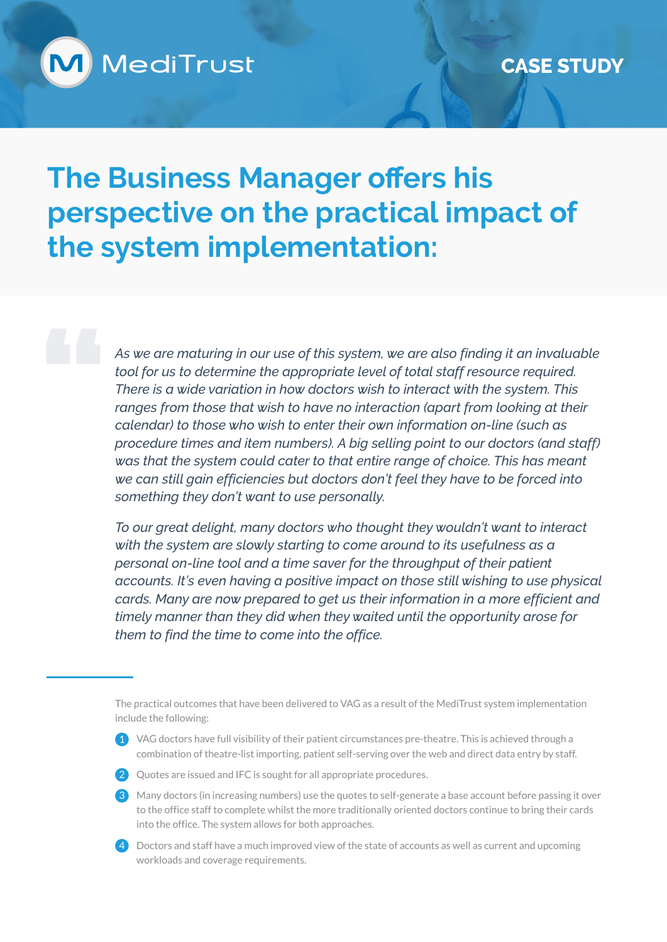

## **The Business Manager offers his perspective on the practical impact of the system implementation:**

*As we are maturing in our use of this system, we are also finding it an invaluable tool for us to determine the appropriate level of total staff resource required. There is a wide variation in how doctors wish to interact with the system. This ranges from those that wish to have no interaction (apart from looking at their calendar) to those who wish to enter their own information on-line (such as procedure times and item numbers). A big selling point to our doctors (and staff) was that the system could cater to that entire range of choice. This has meant we can still gain efficiencies but doctors don't feel they have to be forced into something they don't want to use personally.*

*To our great delight, many doctors who thought they wouldn't want to interact with the system are slowly starting to come around to its usefulness as a personal on-line tool and a time saver for the throughput of their patient accounts. It's even having a positive impact on those still wishing to use physical cards. Many are now prepared to get us their information in a more efficient and timely manner than they did when they waited until the opportunity arose for them to find the time to come into the office.*

1 VAG doctors have full visibility of their patient circumstances pre-theatre. This is achieved through a combination of theatre-list importing, patient self-serving over the web and direct data entry by staff.



- 2 Quotes are issued and IFC is sought for all appropriate procedures.
- 3 Many doctors (in increasing numbers) use the quotes to self-generate a base account before passing it over to the office staff to complete whilst the more traditionally oriented doctors continue to bring their cards into the office. The system allows for both approaches.
- 4 Doctors and staff have a much improved view of the state of accounts as well as current and upcoming workloads and coverage requirements.

The practical outcomes that have been delivered to VAG as a result of the MediTrust system implementation include the following: